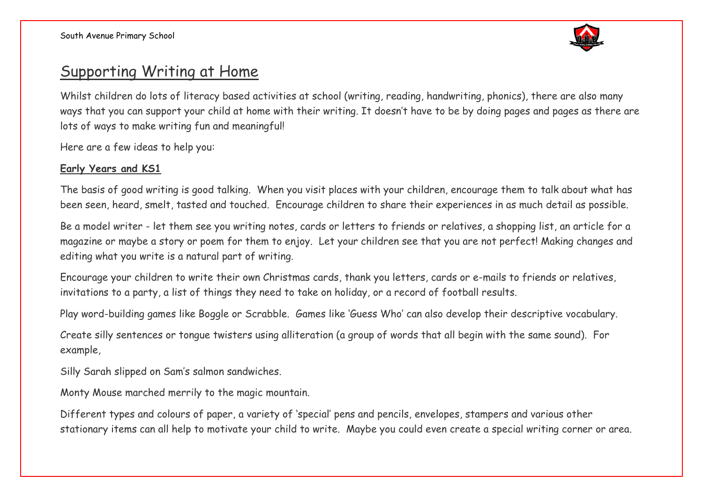

## Supporting Writing at Home

Whilst children do lots of literacy based activities at school (writing, reading, handwriting, phonics), there are also many ways that you can support your child at home with their writing. It doesn't have to be by doing pages and pages as there are lots of ways to make writing fun and meaningful!

Here are a few ideas to help you:

## **Early Years and KS1**

The basis of good writing is good talking. When you visit places with your children, encourage them to talk about what has been seen, heard, smelt, tasted and touched. Encourage children to share their experiences in as much detail as possible.

Be a model writer - let them see you writing notes, cards or letters to friends or relatives, a shopping list, an article for a magazine or maybe a story or poem for them to enjoy. Let your children see that you are not perfect! Making changes and editing what you write is a natural part of writing.

Encourage your children to write their own Christmas cards, thank you letters, cards or e-mails to friends or relatives, invitations to a party, a list of things they need to take on holiday, or a record of football results.

Play word-building games like Boggle or Scrabble. Games like 'Guess Who' can also develop their descriptive vocabulary.

Create silly sentences or tongue twisters using alliteration (a group of words that all begin with the same sound). For example,

Silly Sarah slipped on Sam's salmon sandwiches.

Monty Mouse marched merrily to the magic mountain.

Different types and colours of paper, a variety of 'special' pens and pencils, envelopes, stampers and various other stationary items can all help to motivate your child to write. Maybe you could even create a special writing corner or area.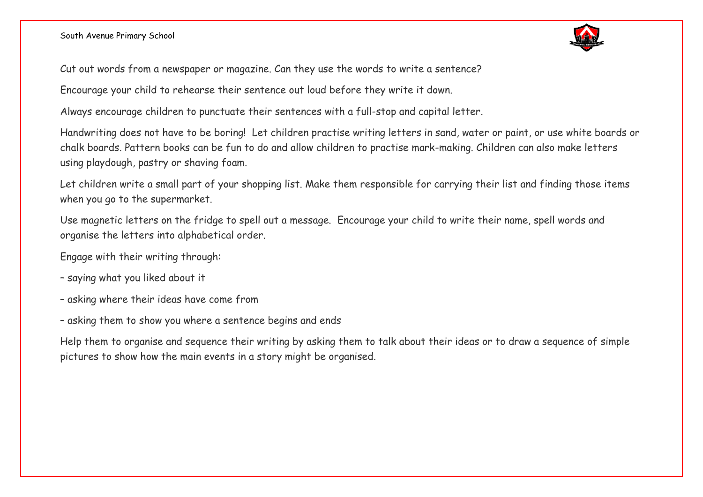South Avenue Primary School



Cut out words from a newspaper or magazine. Can they use the words to write a sentence?

Encourage your child to rehearse their sentence out loud before they write it down.

Always encourage children to punctuate their sentences with a full-stop and capital letter.

Handwriting does not have to be boring! Let children practise writing letters in sand, water or paint, or use white boards or chalk boards. Pattern books can be fun to do and allow children to practise mark-making. Children can also make letters using playdough, pastry or shaving foam.

Let children write a small part of your shopping list. Make them responsible for carrying their list and finding those items when you go to the supermarket.

Use magnetic letters on the fridge to spell out a message. Encourage your child to write their name, spell words and organise the letters into alphabetical order.

Engage with their writing through:

- saying what you liked about it
- asking where their ideas have come from
- asking them to show you where a sentence begins and ends

Help them to organise and sequence their writing by asking them to talk about their ideas or to draw a sequence of simple pictures to show how the main events in a story might be organised.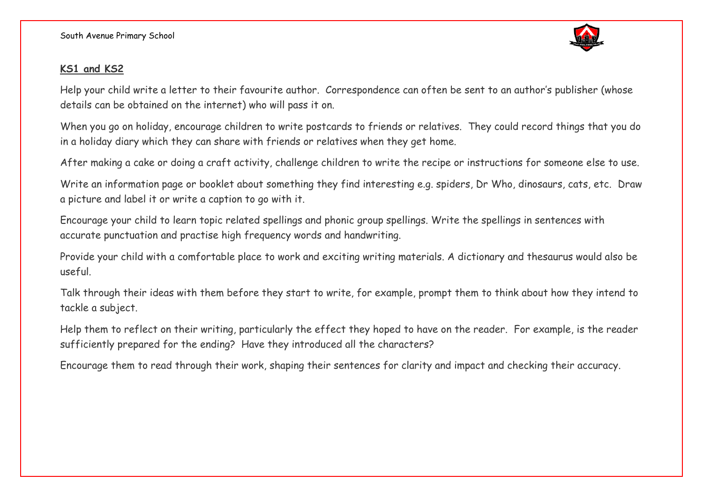South Avenue Primary School



## **KS1 and KS2**

Help your child write a letter to their favourite author. Correspondence can often be sent to an author's publisher (whose details can be obtained on the internet) who will pass it on.

When you go on holiday, encourage children to write postcards to friends or relatives. They could record things that you do in a holiday diary which they can share with friends or relatives when they get home.

After making a cake or doing a craft activity, challenge children to write the recipe or instructions for someone else to use.

Write an information page or booklet about something they find interesting e.g. spiders, Dr Who, dinosaurs, cats, etc. Draw a picture and label it or write a caption to go with it.

Encourage your child to learn topic related spellings and phonic group spellings. Write the spellings in sentences with accurate punctuation and practise high frequency words and handwriting.

Provide your child with a comfortable place to work and exciting writing materials. A dictionary and thesaurus would also be useful.

Talk through their ideas with them before they start to write, for example, prompt them to think about how they intend to tackle a subject.

Help them to reflect on their writing, particularly the effect they hoped to have on the reader. For example, is the reader sufficiently prepared for the ending? Have they introduced all the characters?

Encourage them to read through their work, shaping their sentences for clarity and impact and checking their accuracy.